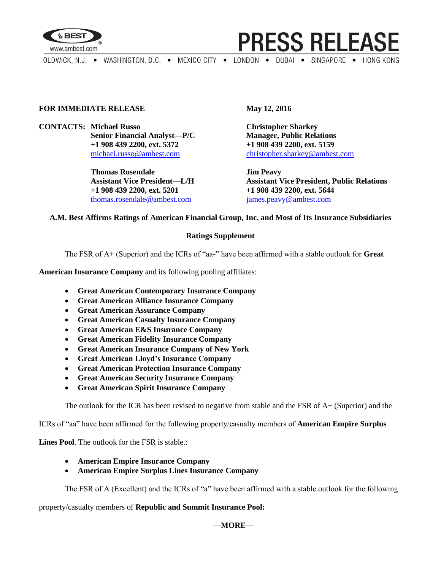

**PRESS RELEASE** 

OLDWICK, N.J. . WASHINGTON, D.C. . MEXICO CITY . LONDON . DUBAI . SINGAPORE . HONG KONG

# **FOR IMMEDIATE RELEASE May 12, 2016**

**CONTACTS: Michael Russo Christopher Sharkey Senior Financial Analyst—P/C Manager, Public Relations +1 908 439 2200, ext. 5372 +1 908 439 2200, ext. 5159**

> **Thomas Rosendale Jim Peavy +1 908 439 2200, ext. 5201 +1 908 439 2200, ext. 5644** [thomas.rosendale@ambest.com](mailto:thomas.rosendale@ambest.com) [james.peavy@ambest.com](mailto:james.peavy@ambest.com)

[michael.russo@ambest.com](mailto:michael.russo@ambest.com) [christopher.sharkey@ambest.com](mailto:christopher.sharkey@ambest.com)

**Assistant Vice President—L/H Assistant Vice President, Public Relations**

# **A.M. Best Affirms Ratings of American Financial Group, Inc. and Most of Its Insurance Subsidiaries**

## **Ratings Supplement**

The FSR of A+ (Superior) and the ICRs of "aa-" have been affirmed with a stable outlook for **Great** 

**American Insurance Company** and its following pooling affiliates:

- **Great American Contemporary Insurance Company**
- **Great American Alliance Insurance Company**
- **Great American Assurance Company**
- **Great American Casualty Insurance Company**
- **Great American E&S Insurance Company**
- **Great American Fidelity Insurance Company**
- **Great American Insurance Company of New York**
- **Great American Lloyd's Insurance Company**
- **Great American Protection Insurance Company**
- **Great American Security Insurance Company**
- **Great American Spirit Insurance Company**

The outlook for the ICR has been revised to negative from stable and the FSR of A+ (Superior) and the

ICRs of "aa" have been affirmed for the following property/casualty members of **American Empire Surplus** 

**Lines Pool**. The outlook for the FSR is stable.:

- **American Empire Insurance Company**
- **American Empire Surplus Lines Insurance Company**

The FSR of A (Excellent) and the ICRs of "a" have been affirmed with a stable outlook for the following

property/casualty members of **Republic and Summit Insurance Pool:**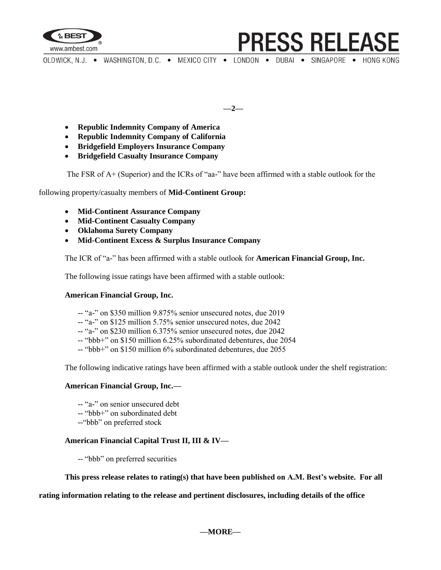

**PRESS RELEAS** 

OLDWICK, N.J. . WASHINGTON, D.C. . MEXICO CITY . LONDON . DUBAI . SINGAPORE . HONG KONG

**—2—**

- **Republic Indemnity Company of America**
- **Republic Indemnity Company of California**
- **Bridgefield Employers Insurance Company**
- **Bridgefield Casualty Insurance Company**

The FSR of A+ (Superior) and the ICRs of "aa-" have been affirmed with a stable outlook for the

following property/casualty members of **Mid-Continent Group:** 

- **Mid-Continent Assurance Company**
- **Mid-Continent Casualty Company**
- **Oklahoma Surety Company**
- **Mid-Continent Excess & Surplus Insurance Company**

The ICR of "a-" has been affirmed with a stable outlook for **American Financial Group, Inc.**

The following issue ratings have been affirmed with a stable outlook:

### **American Financial Group, Inc.**

- -- "a-" on \$350 million 9.875% senior unsecured notes, due 2019
- -- "a-" on \$125 million 5.75% senior unsecured notes, due 2042
- -- "a-" on \$230 million 6.375% senior unsecured notes, due 2042
- -- "bbb+" on \$150 million 6.25% subordinated debentures, due 2054
- -- "bbb+" on \$150 million 6% subordinated debentures, due 2055

The following indicative ratings have been affirmed with a stable outlook under the shelf registration:

### **American Financial Group, Inc.—**

- -- "a-" on senior unsecured debt
- -- "bbb+" on subordinated debt
- --"bbb" on preferred stock

## **American Financial Capital Trust II, III & IV—**

-- "bbb" on preferred securities

**This press release relates to rating(s) that have been published on A.M. Best's website. For all** 

### **rating information relating to the release and pertinent disclosures, including details of the office**